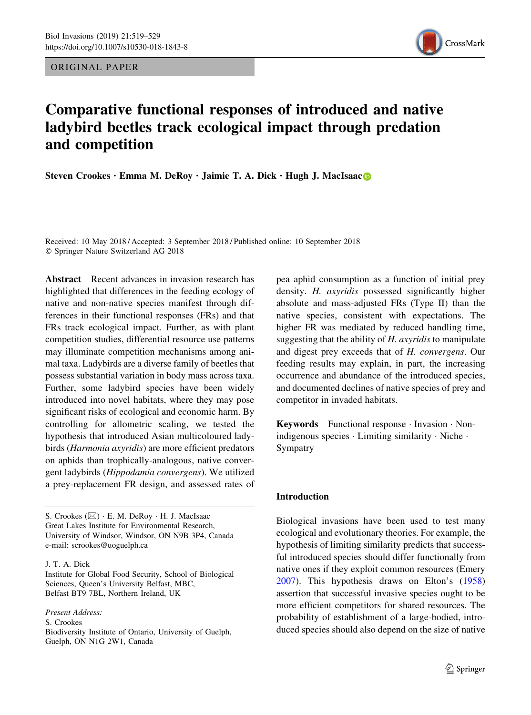ORIGINAL PAPER



# Comparative functional responses of introduced and native ladybird beetles track ecological impact through predation and competition

Steven Crookes · Emma M. DeRoy · Jaimie T. A. Di[c](http://orcid.org/0000-0001-7264-732X)k · Hugh J. MacIsaac

Received: 10 May 2018 / Accepted: 3 September 2018 / Published online: 10 September 2018 - Springer Nature Switzerland AG 2018

Abstract Recent advances in invasion research has highlighted that differences in the feeding ecology of native and non-native species manifest through differences in their functional responses (FRs) and that FRs track ecological impact. Further, as with plant competition studies, differential resource use patterns may illuminate competition mechanisms among animal taxa. Ladybirds are a diverse family of beetles that possess substantial variation in body mass across taxa. Further, some ladybird species have been widely introduced into novel habitats, where they may pose significant risks of ecological and economic harm. By controlling for allometric scaling, we tested the hypothesis that introduced Asian multicoloured ladybirds (Harmonia axyridis) are more efficient predators on aphids than trophically-analogous, native convergent ladybirds (Hippodamia convergens). We utilized a prey-replacement FR design, and assessed rates of

S. Crookes (&) - E. M. DeRoy - H. J. MacIsaac Great Lakes Institute for Environmental Research, University of Windsor, Windsor, ON N9B 3P4, Canada e-mail: scrookes@uoguelph.ca

J. T. A. Dick

Institute for Global Food Security, School of Biological Sciences, Queen's University Belfast, MBC, Belfast BT9 7BL, Northern Ireland, UK

Present Address:

S. Crookes

Biodiversity Institute of Ontario, University of Guelph, Guelph, ON N1G 2W1, Canada

pea aphid consumption as a function of initial prey density. H. axyridis possessed significantly higher absolute and mass-adjusted FRs (Type II) than the native species, consistent with expectations. The higher FR was mediated by reduced handling time, suggesting that the ability of  $H$ . axyridis to manipulate and digest prey exceeds that of H. convergens. Our feeding results may explain, in part, the increasing occurrence and abundance of the introduced species, and documented declines of native species of prey and competitor in invaded habitats.

Keywords Functional response - Invasion - Nonindigenous species - Limiting similarity - Niche - Sympatry

## Introduction

Biological invasions have been used to test many ecological and evolutionary theories. For example, the hypothesis of limiting similarity predicts that successful introduced species should differ functionally from native ones if they exploit common resources (Emery [2007\)](#page-9-0). This hypothesis draws on Elton's ([1958\)](#page-9-0) assertion that successful invasive species ought to be more efficient competitors for shared resources. The probability of establishment of a large-bodied, introduced species should also depend on the size of native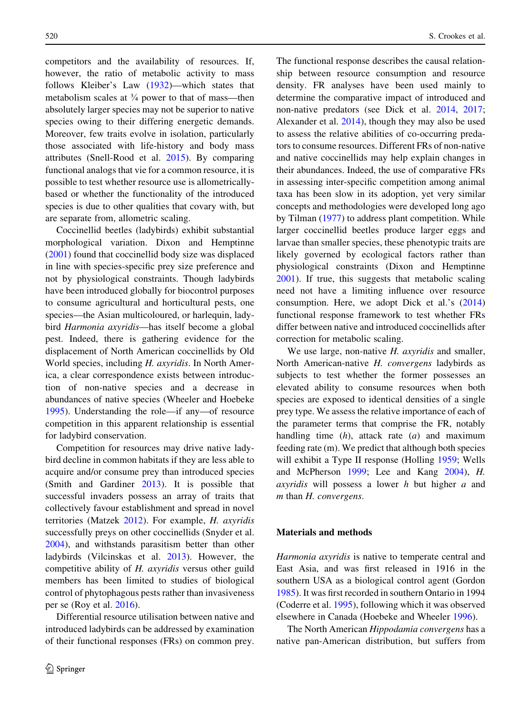competitors and the availability of resources. If, however, the ratio of metabolic activity to mass follows Kleiber's Law [\(1932](#page-9-0))—which states that metabolism scales at  $\frac{3}{4}$  power to that of mass—then absolutely larger species may not be superior to native species owing to their differing energetic demands. Moreover, few traits evolve in isolation, particularly those associated with life-history and body mass attributes (Snell-Rood et al. [2015](#page-10-0)). By comparing functional analogs that vie for a common resource, it is possible to test whether resource use is allometricallybased or whether the functionality of the introduced species is due to other qualities that covary with, but are separate from, allometric scaling.

Coccinellid beetles (ladybirds) exhibit substantial morphological variation. Dixon and Hemptinne [\(2001](#page-9-0)) found that coccinellid body size was displaced in line with species-specific prey size preference and not by physiological constraints. Though ladybirds have been introduced globally for biocontrol purposes to consume agricultural and horticultural pests, one species—the Asian multicoloured, or harlequin, ladybird Harmonia axyridis—has itself become a global pest. Indeed, there is gathering evidence for the displacement of North American coccinellids by Old World species, including H. axyridis. In North America, a clear correspondence exists between introduction of non-native species and a decrease in abundances of native species (Wheeler and Hoebeke [1995\)](#page-10-0). Understanding the role—if any—of resource competition in this apparent relationship is essential for ladybird conservation.

Competition for resources may drive native ladybird decline in common habitats if they are less able to acquire and/or consume prey than introduced species (Smith and Gardiner [2013](#page-10-0)). It is possible that successful invaders possess an array of traits that collectively favour establishment and spread in novel territories (Matzek [2012](#page-10-0)). For example, H. axyridis successfully preys on other coccinellids (Snyder et al. [2004\)](#page-10-0), and withstands parasitism better than other ladybirds (Vilcinskas et al. [2013](#page-10-0)). However, the competitive ability of H. axyridis versus other guild members has been limited to studies of biological control of phytophagous pests rather than invasiveness per se (Roy et al. [2016\)](#page-10-0).

Differential resource utilisation between native and introduced ladybirds can be addressed by examination of their functional responses (FRs) on common prey.

The functional response describes the causal relationship between resource consumption and resource density. FR analyses have been used mainly to determine the comparative impact of introduced and non-native predators (see Dick et al. [2014,](#page-9-0) [2017](#page-9-0); Alexander et al. [2014\)](#page-9-0), though they may also be used to assess the relative abilities of co-occurring predators to consume resources. Different FRs of non-native and native coccinellids may help explain changes in their abundances. Indeed, the use of comparative FRs in assessing inter-specific competition among animal taxa has been slow in its adoption, yet very similar concepts and methodologies were developed long ago by Tilman [\(1977](#page-10-0)) to address plant competition. While larger coccinellid beetles produce larger eggs and larvae than smaller species, these phenotypic traits are likely governed by ecological factors rather than physiological constraints (Dixon and Hemptinne [2001\)](#page-9-0). If true, this suggests that metabolic scaling need not have a limiting influence over resource consumption. Here, we adopt Dick et al.'s ([2014\)](#page-9-0) functional response framework to test whether FRs differ between native and introduced coccinellids after correction for metabolic scaling.

We use large, non-native  $H$ . axyridis and smaller, North American-native H. convergens ladybirds as subjects to test whether the former possesses an elevated ability to consume resources when both species are exposed to identical densities of a single prey type. We assess the relative importance of each of the parameter terms that comprise the FR, notably handling time  $(h)$ , attack rate  $(a)$  and maximum feeding rate (m). We predict that although both species will exhibit a Type II response (Holling [1959;](#page-9-0) Wells and McPherson [1999;](#page-10-0) Lee and Kang [2004](#page-10-0)), H. *axyridis* will possess a lower  $h$  but higher  $a$  and m than H. convergens.

#### Materials and methods

Harmonia axyridis is native to temperate central and East Asia, and was first released in 1916 in the southern USA as a biological control agent (Gordon [1985\)](#page-9-0). It was first recorded in southern Ontario in 1994 (Coderre et al. [1995\)](#page-9-0), following which it was observed elsewhere in Canada (Hoebeke and Wheeler [1996\)](#page-9-0).

The North American Hippodamia convergens has a native pan-American distribution, but suffers from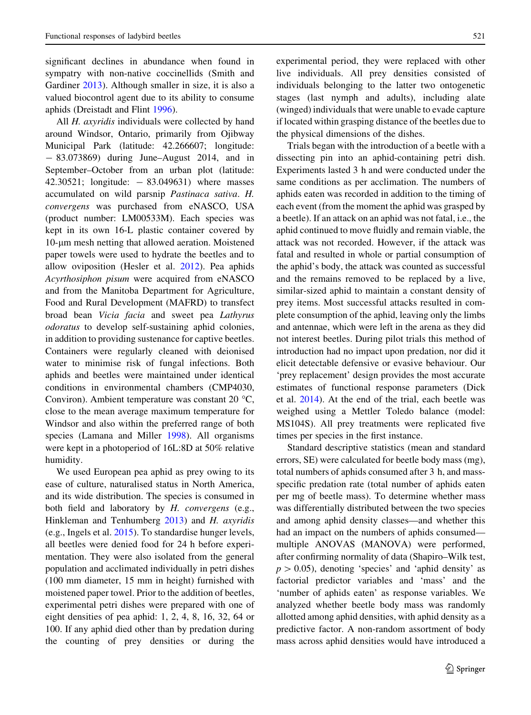significant declines in abundance when found in sympatry with non-native coccinellids (Smith and Gardiner [2013](#page-10-0)). Although smaller in size, it is also a valued biocontrol agent due to its ability to consume aphids (Dreistadt and Flint [1996](#page-9-0)).

All *H. axyridis* individuals were collected by hand around Windsor, Ontario, primarily from Ojibway Municipal Park (latitude: 42.266607; longitude: - 83.073869) during June–August 2014, and in September–October from an urban plot (latitude: 42.30521; longitude:  $- 83.049631$ ) where masses accumulated on wild parsnip Pastinaca sativa. H. convergens was purchased from eNASCO, USA (product number: LM00533M). Each species was kept in its own 16-L plastic container covered by  $10$ - $\mu$ m mesh netting that allowed aeration. Moistened paper towels were used to hydrate the beetles and to allow oviposition (Hesler et al. [2012\)](#page-9-0). Pea aphids Acyrthosiphon pisum were acquired from eNASCO and from the Manitoba Department for Agriculture, Food and Rural Development (MAFRD) to transfect broad bean Vicia facia and sweet pea Lathyrus odoratus to develop self-sustaining aphid colonies, in addition to providing sustenance for captive beetles. Containers were regularly cleaned with deionised water to minimise risk of fungal infections. Both aphids and beetles were maintained under identical conditions in environmental chambers (CMP4030, Conviron). Ambient temperature was constant 20  $\textdegree$ C, close to the mean average maximum temperature for Windsor and also within the preferred range of both species (Lamana and Miller [1998\)](#page-9-0). All organisms were kept in a photoperiod of 16L:8D at 50% relative humidity.

We used European pea aphid as prey owing to its ease of culture, naturalised status in North America, and its wide distribution. The species is consumed in both field and laboratory by H. convergens (e.g., Hinkleman and Tenhumberg [2013\)](#page-9-0) and H. axyridis (e.g., Ingels et al. [2015\)](#page-9-0). To standardise hunger levels, all beetles were denied food for 24 h before experimentation. They were also isolated from the general population and acclimated individually in petri dishes (100 mm diameter, 15 mm in height) furnished with moistened paper towel. Prior to the addition of beetles, experimental petri dishes were prepared with one of eight densities of pea aphid: 1, 2, 4, 8, 16, 32, 64 or 100. If any aphid died other than by predation during the counting of prey densities or during the

experimental period, they were replaced with other live individuals. All prey densities consisted of individuals belonging to the latter two ontogenetic stages (last nymph and adults), including alate (winged) individuals that were unable to evade capture if located within grasping distance of the beetles due to the physical dimensions of the dishes.

Trials began with the introduction of a beetle with a dissecting pin into an aphid-containing petri dish. Experiments lasted 3 h and were conducted under the same conditions as per acclimation. The numbers of aphids eaten was recorded in addition to the timing of each event (from the moment the aphid was grasped by a beetle). If an attack on an aphid was not fatal, i.e., the aphid continued to move fluidly and remain viable, the attack was not recorded. However, if the attack was fatal and resulted in whole or partial consumption of the aphid's body, the attack was counted as successful and the remains removed to be replaced by a live, similar-sized aphid to maintain a constant density of prey items. Most successful attacks resulted in complete consumption of the aphid, leaving only the limbs and antennae, which were left in the arena as they did not interest beetles. During pilot trials this method of introduction had no impact upon predation, nor did it elicit detectable defensive or evasive behaviour. Our 'prey replacement' design provides the most accurate estimates of functional response parameters (Dick et al. [2014\)](#page-9-0). At the end of the trial, each beetle was weighed using a Mettler Toledo balance (model: MS104S). All prey treatments were replicated five times per species in the first instance.

Standard descriptive statistics (mean and standard errors, SE) were calculated for beetle body mass (mg), total numbers of aphids consumed after 3 h, and massspecific predation rate (total number of aphids eaten per mg of beetle mass). To determine whether mass was differentially distributed between the two species and among aphid density classes—and whether this had an impact on the numbers of aphids consumed multiple ANOVAS (MANOVA) were performed, after confirming normality of data (Shapiro–Wilk test,  $p > 0.05$ ), denoting 'species' and 'aphid density' as factorial predictor variables and 'mass' and the 'number of aphids eaten' as response variables. We analyzed whether beetle body mass was randomly allotted among aphid densities, with aphid density as a predictive factor. A non-random assortment of body mass across aphid densities would have introduced a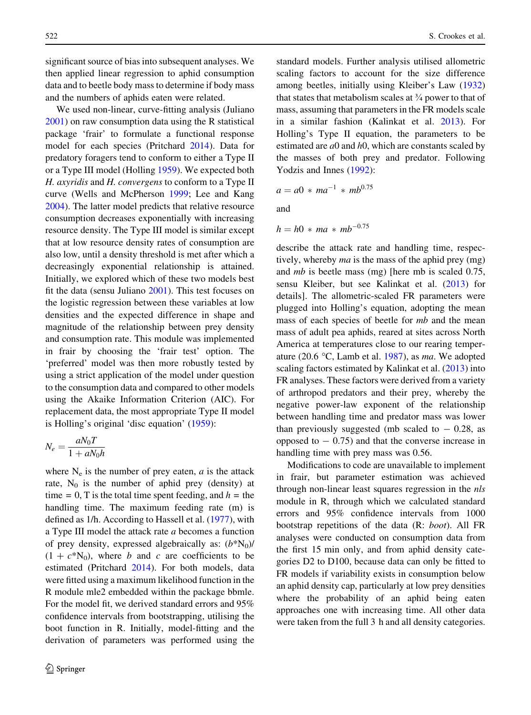significant source of bias into subsequent analyses. We then applied linear regression to aphid consumption data and to beetle body mass to determine if body mass and the numbers of aphids eaten were related.

We used non-linear, curve-fitting analysis (Juliano [2001\)](#page-9-0) on raw consumption data using the R statistical package 'frair' to formulate a functional response model for each species (Pritchard [2014\)](#page-10-0). Data for predatory foragers tend to conform to either a Type II or a Type III model (Holling [1959](#page-9-0)). We expected both H. axyridis and H. convergens to conform to a Type II curve (Wells and McPherson [1999](#page-10-0); Lee and Kang [2004\)](#page-10-0). The latter model predicts that relative resource consumption decreases exponentially with increasing resource density. The Type III model is similar except that at low resource density rates of consumption are also low, until a density threshold is met after which a decreasingly exponential relationship is attained. Initially, we explored which of these two models best fit the data (sensu Juliano [2001](#page-9-0)). This test focuses on the logistic regression between these variables at low densities and the expected difference in shape and magnitude of the relationship between prey density and consumption rate. This module was implemented in frair by choosing the 'frair test' option. The 'preferred' model was then more robustly tested by using a strict application of the model under question to the consumption data and compared to other models using the Akaike Information Criterion (AIC). For replacement data, the most appropriate Type II model is Holling's original 'disc equation' ([1959\)](#page-9-0):

$$
N_e = \frac{aN_0T}{1 + aN_0h}
$$

where  $N_e$  is the number of prey eaten,  $a$  is the attack rate,  $N_0$  is the number of aphid prey (density) at time = 0, T is the total time spent feeding, and  $h =$  the handling time. The maximum feeding rate (m) is defined as 1/h. According to Hassell et al. ([1977](#page-9-0)), with a Type III model the attack rate a becomes a function of prey density, expressed algebraically as:  $(b*N<sub>0</sub>)/$  $(1 + c^*N_0)$ , where b and c are coefficients to be estimated (Pritchard [2014\)](#page-10-0). For both models, data were fitted using a maximum likelihood function in the R module mle2 embedded within the package bbmle. For the model fit, we derived standard errors and 95% confidence intervals from bootstrapping, utilising the boot function in R. Initially, model-fitting and the derivation of parameters was performed using the standard models. Further analysis utilised allometric scaling factors to account for the size difference among beetles, initially using Kleiber's Law ([1932\)](#page-9-0) that states that metabolism scales at  $\frac{3}{4}$  power to that of mass, assuming that parameters in the FR models scale in a similar fashion (Kalinkat et al. [2013](#page-9-0)). For Holling's Type II equation, the parameters to be estimated are  $a0$  and  $h0$ , which are constants scaled by the masses of both prey and predator. Following Yodzis and Innes ([1992\)](#page-10-0):

$$
a = a0 * ma^{-1} * mb^{0.75}
$$

and

$$
h = h0 \ast ma \ast mb^{-0.75}
$$

describe the attack rate and handling time, respectively, whereby *ma* is the mass of the aphid prey (mg) and mb is beetle mass (mg) [here mb is scaled 0.75, sensu Kleiber, but see Kalinkat et al. ([2013\)](#page-9-0) for details]. The allometric-scaled FR parameters were plugged into Holling's equation, adopting the mean mass of each species of beetle for mb and the mean mass of adult pea aphids, reared at sites across North America at temperatures close to our rearing temper-ature (20.6 °C, Lamb et al. [1987\)](#page-9-0), as ma. We adopted scaling factors estimated by Kalinkat et al. [\(2013](#page-9-0)) into FR analyses. These factors were derived from a variety of arthropod predators and their prey, whereby the negative power-law exponent of the relationship between handling time and predator mass was lower than previously suggested (mb scaled to  $-$  0.28, as opposed to  $-0.75$ ) and that the converse increase in handling time with prey mass was 0.56.

Modifications to code are unavailable to implement in frair, but parameter estimation was achieved through non-linear least squares regression in the nls module in R, through which we calculated standard errors and 95% confidence intervals from 1000 bootstrap repetitions of the data (R: boot). All FR analyses were conducted on consumption data from the first 15 min only, and from aphid density categories D2 to D100, because data can only be fitted to FR models if variability exists in consumption below an aphid density cap, particularly at low prey densities where the probability of an aphid being eaten approaches one with increasing time. All other data were taken from the full 3 h and all density categories.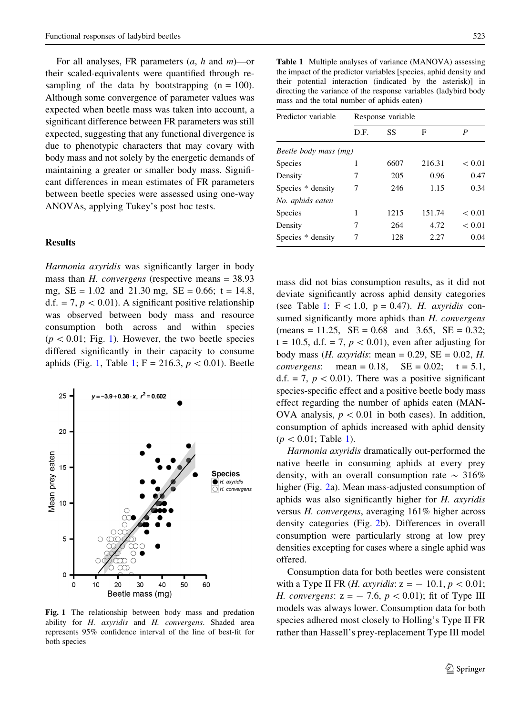For all analyses, FR parameters  $(a, h$  and  $m)$ —or their scaled-equivalents were quantified through resampling of the data by bootstrapping  $(n = 100)$ . Although some convergence of parameter values was expected when beetle mass was taken into account, a significant difference between FR parameters was still expected, suggesting that any functional divergence is due to phenotypic characters that may covary with body mass and not solely by the energetic demands of maintaining a greater or smaller body mass. Significant differences in mean estimates of FR parameters between beetle species were assessed using one-way ANOVAs, applying Tukey's post hoc tests.

#### Results

Harmonia axyridis was significantly larger in body mass than  $H$ . *convergens* (respective means  $= 38.93$ ) mg,  $SE = 1.02$  and 21.30 mg,  $SE = 0.66$ ; t = 14.8, d.f. = 7,  $p < 0.01$ ). A significant positive relationship was observed between body mass and resource consumption both across and within species  $(p < 0.01;$  Fig. 1). However, the two beetle species differed significantly in their capacity to consume aphids (Fig. 1, Table 1; F = 216.3,  $p < 0.01$ ). Beetle



Fig. 1 The relationship between body mass and predation ability for H. axyridis and H. convergens. Shaded area represents 95% confidence interval of the line of best-fit for both species

Table 1 Multiple analyses of variance (MANOVA) assessing the impact of the predictor variables [species, aphid density and their potential interaction (indicated by the asterisk)] in directing the variance of the response variables (ladybird body mass and the total number of aphids eaten)

| Predictor variable    | Response variable |      |        |        |  |  |  |  |  |
|-----------------------|-------------------|------|--------|--------|--|--|--|--|--|
|                       | D.F.              | SS   | F      | P      |  |  |  |  |  |
| Beetle body mass (mg) |                   |      |        |        |  |  |  |  |  |
| <b>Species</b>        | 1                 | 6607 | 216.31 | < 0.01 |  |  |  |  |  |
| Density               | 7                 | 205  | 0.96   | 0.47   |  |  |  |  |  |
| Species * density     | 7                 | 246  | 1.15   | 0.34   |  |  |  |  |  |
| No. aphids eaten      |                   |      |        |        |  |  |  |  |  |
| <b>Species</b>        | 1                 | 1215 | 151.74 | < 0.01 |  |  |  |  |  |
| Density               | 7                 | 264  | 4.72   | < 0.01 |  |  |  |  |  |
| Species * density     | 7                 | 128  | 2.27   | 0.04   |  |  |  |  |  |
|                       |                   |      |        |        |  |  |  |  |  |

mass did not bias consumption results, as it did not deviate significantly across aphid density categories (see Table 1:  $F < 1.0$ , p = 0.47). H. axyridis consumed significantly more aphids than H. convergens  $(\text{means} = 11.25, \ \text{SE} = 0.68 \ \text{and} \ 3.65, \ \text{SE} = 0.32;$  $t = 10.5$ , d.f. = 7,  $p < 0.01$ ), even after adjusting for body mass (*H. axyridis:* mean = 0.29,  $SE = 0.02$ , *H.* convergens: mean =  $0.18$ , SE =  $0.02$ ; t =  $5.1$ , d.f. = 7,  $p < 0.01$ ). There was a positive significant species-specific effect and a positive beetle body mass effect regarding the number of aphids eaten (MAN-OVA analysis,  $p < 0.01$  in both cases). In addition, consumption of aphids increased with aphid density  $(p < 0.01;$  Table 1).

Harmonia axyridis dramatically out-performed the native beetle in consuming aphids at every prey density, with an overall consumption rate  $\sim 316\%$ higher (Fig. [2](#page-5-0)a). Mean mass-adjusted consumption of aphids was also significantly higher for H. axyridis versus H. convergens, averaging 161% higher across density categories (Fig. [2b](#page-5-0)). Differences in overall consumption were particularly strong at low prey densities excepting for cases where a single aphid was offered.

Consumption data for both beetles were consistent with a Type II FR (*H. axyridis:*  $z = -10.1, p < 0.01;$ H. convergens:  $z = -7.6$ ,  $p < 0.01$ ); fit of Type III models was always lower. Consumption data for both species adhered most closely to Holling's Type II FR rather than Hassell's prey-replacement Type III model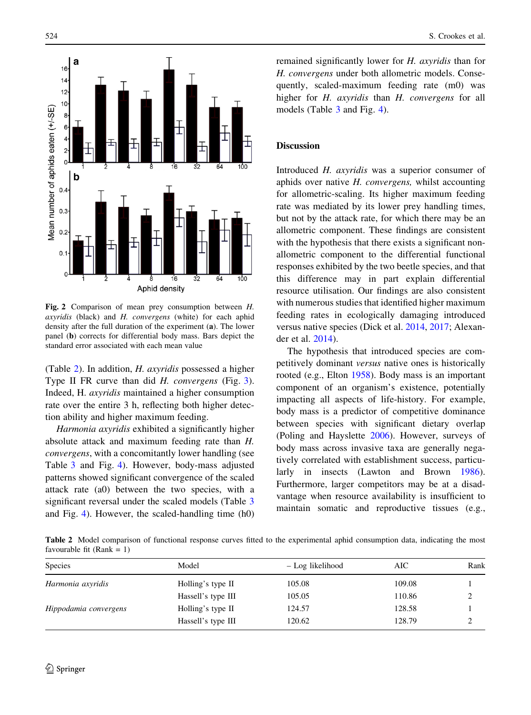<span id="page-5-0"></span>

Fig. 2 Comparison of mean prey consumption between H. axyridis (black) and H. convergens (white) for each aphid density after the full duration of the experiment (a). The lower panel (b) corrects for differential body mass. Bars depict the standard error associated with each mean value

(Table 2). In addition, H. axyridis possessed a higher Type II FR curve than did *H. convergens* (Fig. [3](#page-6-0)). Indeed, H. axyridis maintained a higher consumption rate over the entire 3 h, reflecting both higher detection ability and higher maximum feeding.

Harmonia axyridis exhibited a significantly higher absolute attack and maximum feeding rate than H. convergens, with a concomitantly lower handling (see Table [3](#page-6-0) and Fig. [4](#page-7-0)). However, body-mass adjusted patterns showed significant convergence of the scaled attack rate (a0) between the two species, with a significant reversal under the scaled models (Table [3](#page-6-0) and Fig. [4\)](#page-7-0). However, the scaled-handling time (h0) remained significantly lower for H. axyridis than for H. convergens under both allometric models. Consequently, scaled-maximum feeding rate (m0) was higher for H. axyridis than H. convergens for all models (Table [3](#page-6-0) and Fig. [4](#page-7-0)).

### **Discussion**

Introduced H. axyridis was a superior consumer of aphids over native H. convergens, whilst accounting for allometric-scaling. Its higher maximum feeding rate was mediated by its lower prey handling times, but not by the attack rate, for which there may be an allometric component. These findings are consistent with the hypothesis that there exists a significant nonallometric component to the differential functional responses exhibited by the two beetle species, and that this difference may in part explain differential resource utilisation. Our findings are also consistent with numerous studies that identified higher maximum feeding rates in ecologically damaging introduced versus native species (Dick et al. [2014](#page-9-0), [2017;](#page-9-0) Alexander et al. [2014](#page-9-0)).

The hypothesis that introduced species are competitively dominant versus native ones is historically rooted (e.g., Elton [1958\)](#page-9-0). Body mass is an important component of an organism's existence, potentially impacting all aspects of life-history. For example, body mass is a predictor of competitive dominance between species with significant dietary overlap (Poling and Hayslette [2006\)](#page-10-0). However, surveys of body mass across invasive taxa are generally negatively correlated with establishment success, particularly in insects (Lawton and Brown [1986](#page-9-0)). Furthermore, larger competitors may be at a disadvantage when resource availability is insufficient to maintain somatic and reproductive tissues (e.g.,

Table 2 Model comparison of functional response curves fitted to the experimental aphid consumption data, indicating the most favourable fit ( $Rank = 1$ )

| <b>Species</b>        | Model              | – Log likelihood | AIC    | Rank |
|-----------------------|--------------------|------------------|--------|------|
| Harmonia axyridis     | Holling's type II  | 105.08           | 109.08 |      |
|                       | Hassell's type III | 105.05           | 110.86 |      |
| Hippodamia convergens | Holling's type II  | 124.57           | 128.58 |      |
|                       | Hassell's type III | 120.62           | 128.79 |      |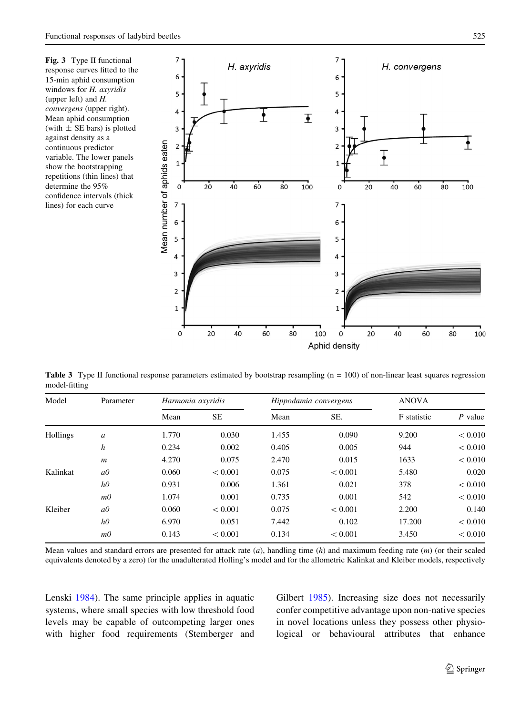<span id="page-6-0"></span>Fig. 3 Type II functional response curves fitted to the 15-min aphid consumption windows for H. axyridis (upper left) and H. convergens (upper right). Mean aphid consumption (with  $\pm$  SE bars) is plotted against density as a continuous predictor variable. The lower panels show the bootstrapping repetitions (thin lines) that determine the 95% confidence intervals (thick lines) for each curve



**Table 3** Type II functional response parameters estimated by bootstrap resampling  $(n = 100)$  of non-linear least squares regression model-fitting

| Model    | Parameter        | Harmonia axyridis |           | Hippodamia convergens |         | <b>ANOVA</b> |           |
|----------|------------------|-------------------|-----------|-----------------------|---------|--------------|-----------|
|          |                  | Mean              | <b>SE</b> | Mean                  | SE.     | F statistic  | $P$ value |
| Hollings | a                | 1.770             | 0.030     | 1.455                 | 0.090   | 9.200        | < 0.010   |
|          | $\boldsymbol{h}$ | 0.234             | 0.002     | 0.405                 | 0.005   | 944          | < 0.010   |
|          | $\boldsymbol{m}$ | 4.270             | 0.075     | 2.470                 | 0.015   | 1633         | < 0.010   |
| Kalinkat | $a\theta$        | 0.060             | < 0.001   | 0.075                 | < 0.001 | 5.480        | 0.020     |
|          | h0               | 0.931             | 0.006     | 1.361                 | 0.021   | 378          | < 0.010   |
|          | m <sub>0</sub>   | 1.074             | 0.001     | 0.735                 | 0.001   | 542          | < 0.010   |
| Kleiber  | a0               | 0.060             | < 0.001   | 0.075                 | < 0.001 | 2.200        | 0.140     |
|          | h0               | 6.970             | 0.051     | 7.442                 | 0.102   | 17.200       | < 0.010   |
|          | m <sub>0</sub>   | 0.143             | < 0.001   | 0.134                 | < 0.001 | 3.450        | < 0.010   |

Mean values and standard errors are presented for attack rate  $(a)$ , handling time  $(h)$  and maximum feeding rate  $(m)$  (or their scaled equivalents denoted by a zero) for the unadulterated Holling's model and for the allometric Kalinkat and Kleiber models, respectively

Lenski [1984\)](#page-10-0). The same principle applies in aquatic systems, where small species with low threshold food levels may be capable of outcompeting larger ones with higher food requirements (Stemberger and Gilbert [1985\)](#page-10-0). Increasing size does not necessarily confer competitive advantage upon non-native species in novel locations unless they possess other physiological or behavioural attributes that enhance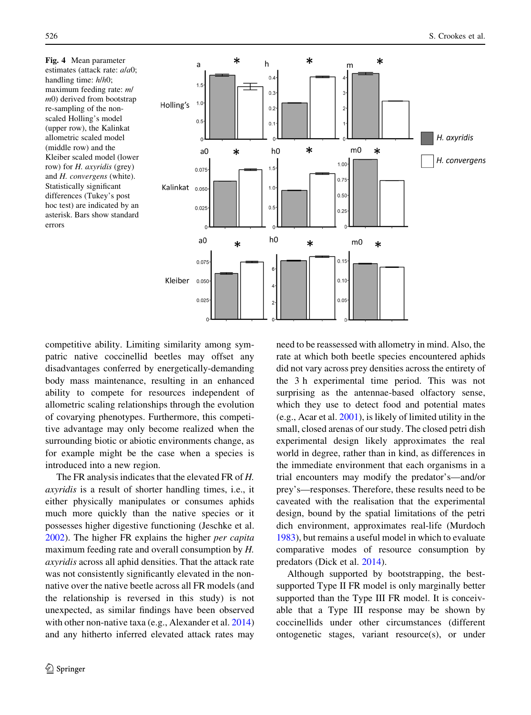Fig. 4 Mean parameter estimates (attack rate: a/a0; handling time: h/h0; maximum feeding rate: m/ m0) derived from bootstrap re-sampling of the nonscaled Holling's model (upper row), the Kalinkat allometric scaled model (middle row) and the Kleiber scaled model (lower row) for H. axyridis (grey) and H. convergens (white). Statistically significant differences (Tukey's post hoc test) are indicated by an asterisk. Bars show standard errors

<span id="page-7-0"></span>

competitive ability. Limiting similarity among sympatric native coccinellid beetles may offset any disadvantages conferred by energetically-demanding body mass maintenance, resulting in an enhanced ability to compete for resources independent of allometric scaling relationships through the evolution of covarying phenotypes. Furthermore, this competitive advantage may only become realized when the surrounding biotic or abiotic environments change, as for example might be the case when a species is introduced into a new region.

The FR analysis indicates that the elevated FR of H. axyridis is a result of shorter handling times, i.e., it either physically manipulates or consumes aphids much more quickly than the native species or it possesses higher digestive functioning (Jeschke et al. [2002\)](#page-9-0). The higher FR explains the higher per capita maximum feeding rate and overall consumption by H. axyridis across all aphid densities. That the attack rate was not consistently significantly elevated in the nonnative over the native beetle across all FR models (and the relationship is reversed in this study) is not unexpected, as similar findings have been observed with other non-native taxa (e.g., Alexander et al. [2014\)](#page-9-0) and any hitherto inferred elevated attack rates may

need to be reassessed with allometry in mind. Also, the rate at which both beetle species encountered aphids did not vary across prey densities across the entirety of the 3 h experimental time period. This was not surprising as the antennae-based olfactory sense, which they use to detect food and potential mates (e.g., Acar et al. [2001\)](#page-9-0), is likely of limited utility in the small, closed arenas of our study. The closed petri dish experimental design likely approximates the real world in degree, rather than in kind, as differences in the immediate environment that each organisms in a trial encounters may modify the predator's—and/or prey's—responses. Therefore, these results need to be caveated with the realisation that the experimental design, bound by the spatial limitations of the petri dich environment, approximates real-life (Murdoch [1983\)](#page-10-0), but remains a useful model in which to evaluate comparative modes of resource consumption by predators (Dick et al. [2014](#page-9-0)).

Although supported by bootstrapping, the bestsupported Type II FR model is only marginally better supported than the Type III FR model. It is conceivable that a Type III response may be shown by coccinellids under other circumstances (different ontogenetic stages, variant resource(s), or under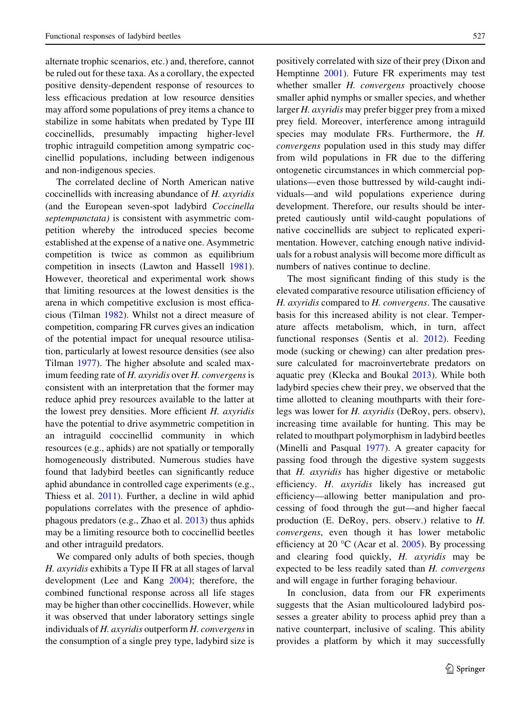alternate trophic scenarios, etc.) and, therefore, cannot be ruled out for these taxa. As a corollary, the expected positive density-dependent response of resources to less efficacious predation at low resource densities may afford some populations of prey items a chance to stabilize in some habitats when predated by Type III coccinellids, presumably impacting higher-level trophic intraguild competition among sympatric coccinellid populations, including between indigenous and non-indigenous species.

The correlated decline of North American native coccinellids with increasing abundance of H. axyridis (and the European seven-spot ladybird Coccinella septempunctata) is consistent with asymmetric competition whereby the introduced species become established at the expense of a native one. Asymmetric competition is twice as common as equilibrium competition in insects (Lawton and Hassell [1981](#page-10-0)). However, theoretical and experimental work shows that limiting resources at the lowest densities is the arena in which competitive exclusion is most efficacious (Tilman [1982](#page-10-0)). Whilst not a direct measure of competition, comparing FR curves gives an indication of the potential impact for unequal resource utilisation, particularly at lowest resource densities (see also Tilman [1977](#page-10-0)). The higher absolute and scaled maximum feeding rate of H. axyridis over H. convergens is consistent with an interpretation that the former may reduce aphid prey resources available to the latter at the lowest prey densities. More efficient H. axyridis have the potential to drive asymmetric competition in an intraguild coccinellid community in which resources (e.g., aphids) are not spatially or temporally homogeneously distributed. Numerous studies have found that ladybird beetles can significantly reduce aphid abundance in controlled cage experiments (e.g., Thiess et al. [2011\)](#page-10-0). Further, a decline in wild aphid populations correlates with the presence of aphdiophagous predators (e.g., Zhao et al. [2013\)](#page-10-0) thus aphids may be a limiting resource both to coccinellid beetles and other intraguild predators.

We compared only adults of both species, though H. axyridis exhibits a Type II FR at all stages of larval development (Lee and Kang [2004](#page-10-0)); therefore, the combined functional response across all life stages may be higher than other coccinellids. However, while it was observed that under laboratory settings single individuals of  $H$ . axyridis outperform  $H$ . convergens in the consumption of a single prey type, ladybird size is positively correlated with size of their prey (Dixon and Hemptinne [2001\)](#page-9-0). Future FR experiments may test whether smaller *H. convergens* proactively choose smaller aphid nymphs or smaller species, and whether larger H. axyridis may prefer bigger prey from a mixed prey field. Moreover, interference among intraguild species may modulate FRs. Furthermore, the H. convergens population used in this study may differ from wild populations in FR due to the differing ontogenetic circumstances in which commercial populations—even those buttressed by wild-caught individuals—and wild populations experience during development. Therefore, our results should be interpreted cautiously until wild-caught populations of native coccinellids are subject to replicated experimentation. However, catching enough native individuals for a robust analysis will become more difficult as numbers of natives continue to decline.

The most significant finding of this study is the elevated comparative resource utilisation efficiency of H. axyridis compared to H. convergens. The causative basis for this increased ability is not clear. Temperature affects metabolism, which, in turn, affect functional responses (Sentis et al. [2012\)](#page-10-0). Feeding mode (sucking or chewing) can alter predation pressure calculated for macroinvertebrate predators on aquatic prey (Klecka and Boukal [2013\)](#page-9-0). While both ladybird species chew their prey, we observed that the time allotted to cleaning mouthparts with their forelegs was lower for H. axyridis (DeRoy, pers. observ), increasing time available for hunting. This may be related to mouthpart polymorphism in ladybird beetles (Minelli and Pasqual [1977\)](#page-10-0). A greater capacity for passing food through the digestive system suggests that H. axyridis has higher digestive or metabolic efficiency. H. axyridis likely has increased gut efficiency—allowing better manipulation and processing of food through the gut—and higher faecal production (E. DeRoy, pers. observ.) relative to H. convergens, even though it has lower metabolic efficiency at 20  $\rm{^{\circ}C}$  (Acar et al. [2005\)](#page-9-0). By processing and clearing food quickly, H. axyridis may be expected to be less readily sated than H. convergens and will engage in further foraging behaviour.

In conclusion, data from our FR experiments suggests that the Asian multicoloured ladybird possesses a greater ability to process aphid prey than a native counterpart, inclusive of scaling. This ability provides a platform by which it may successfully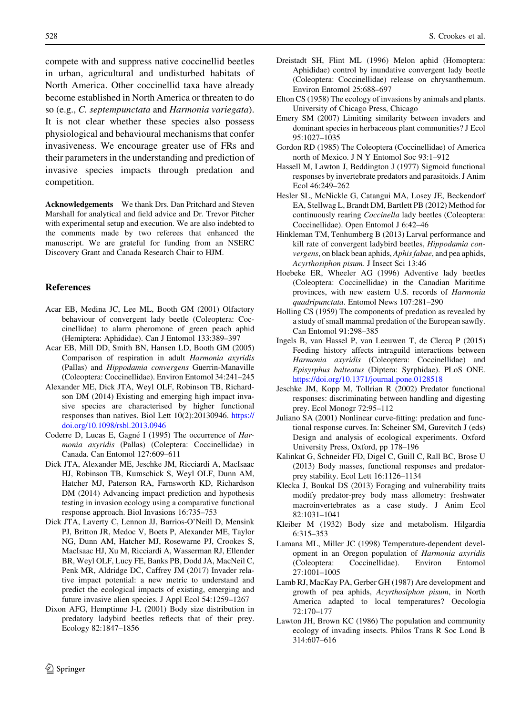<span id="page-9-0"></span>compete with and suppress native coccinellid beetles in urban, agricultural and undisturbed habitats of North America. Other coccinellid taxa have already become established in North America or threaten to do so (e.g., C. septempunctata and Harmonia variegata). It is not clear whether these species also possess physiological and behavioural mechanisms that confer invasiveness. We encourage greater use of FRs and their parameters in the understanding and prediction of invasive species impacts through predation and competition.

Acknowledgements We thank Drs. Dan Pritchard and Steven Marshall for analytical and field advice and Dr. Trevor Pitcher with experimental setup and execution. We are also indebted to the comments made by two referees that enhanced the manuscript. We are grateful for funding from an NSERC Discovery Grant and Canada Research Chair to HJM.

#### References

- Acar EB, Medina JC, Lee ML, Booth GM (2001) Olfactory behaviour of convergent lady beetle (Coleoptera: Coccinellidae) to alarm pheromone of green peach aphid (Hemiptera: Aphididae). Can J Entomol 133:389–397
- Acar EB, Mill DD, Smith BN, Hansen LD, Booth GM (2005) Comparison of respiration in adult Harmonia axyridis (Pallas) and Hippodamia convergens Guerrin-Manaville (Coleoptera: Coccinellidae). Environ Entomol 34:241–245
- Alexander ME, Dick JTA, Weyl OLF, Robinson TB, Richardson DM (2014) Existing and emerging high impact invasive species are characterised by higher functional responses than natives. Biol Lett 10(2):20130946. [https://](https://doi.org/10.1098/rsbl.2013.0946) [doi.org/10.1098/rsbl.2013.0946](https://doi.org/10.1098/rsbl.2013.0946)
- Coderre D, Lucas E, Gagné I (1995) The occurrence of Harmonia axyridis (Pallas) (Coleptera: Coccinellidae) in Canada. Can Entomol 127:609–611
- Dick JTA, Alexander ME, Jeschke JM, Ricciardi A, MacIsaac HJ, Robinson TB, Kumschick S, Weyl OLF, Dunn AM, Hatcher MJ, Paterson RA, Farnsworth KD, Richardson DM (2014) Advancing impact prediction and hypothesis testing in invasion ecology using a comparative functional response approach. Biol Invasions 16:735–753
- Dick JTA, Laverty C, Lennon JJ, Barrios-O'Neill D, Mensink PJ, Britton JR, Medoc V, Boets P, Alexander ME, Taylor NG, Dunn AM, Hatcher MJ, Rosewarne PJ, Crookes S, MacIsaac HJ, Xu M, Ricciardi A, Wasserman RJ, Ellender BR, Weyl OLF, Lucy FE, Banks PB, Dodd JA, MacNeil C, Penk MR, Aldridge DC, Caffrey JM (2017) Invader relative impact potential: a new metric to understand and predict the ecological impacts of existing, emerging and future invasive alien species. J Appl Ecol 54:1259–1267
- Dixon AFG, Hemptinne J-L (2001) Body size distribution in predatory ladybird beetles reflects that of their prey. Ecology 82:1847–1856
- Dreistadt SH, Flint ML (1996) Melon aphid (Homoptera: Aphididae) control by inundative convergent lady beetle (Coleoptera: Coccinellidae) release on chrysanthemum. Environ Entomol 25:688–697
- Elton CS (1958) The ecology of invasions by animals and plants. University of Chicago Press, Chicago
- Emery SM (2007) Limiting similarity between invaders and dominant species in herbaceous plant communities? J Ecol 95:1027–1035
- Gordon RD (1985) The Coleoptera (Coccinellidae) of America north of Mexico. J N Y Entomol Soc 93:1–912
- Hassell M, Lawton J, Beddington J (1977) Sigmoid functional responses by invertebrate predators and parasitoids. J Anim Ecol 46:249–262
- Hesler SL, McNickle G, Catangui MA, Losey JE, Beckendorf EA, Stellwag L, Brandt DM, Bartlett PB (2012) Method for continuously rearing Coccinella lady beetles (Coleoptera: Coccinellidae). Open Entomol J 6:42–46
- Hinkleman TM, Tenhumberg B (2013) Larval performance and kill rate of convergent ladybird beetles, Hippodamia convergens, on black bean aphids, Aphis fabae, and pea aphids, Acyrthosiphon pisum. J Insect Sci 13:46
- Hoebeke ER, Wheeler AG (1996) Adventive lady beetles (Coleoptera: Coccinellidae) in the Canadian Maritime provinces, with new eastern U.S. records of Harmonia quadripunctata. Entomol News 107:281–290
- Holling CS (1959) The components of predation as revealed by a study of small mammal predation of the European sawfly. Can Entomol 91:298–385
- Ingels B, van Hassel P, van Leeuwen T, de Clercq P (2015) Feeding history affects intraguild interactions between Harmonia axyridis (Coleoptera: Coccinellidae) and Episyrphus balteatus (Diptera: Syrphidae). PLoS ONE. <https://doi.org/10.1371/journal.pone.0128518>
- Jeschke JM, Kopp M, Tollrian R (2002) Predator functional responses: discriminating between handling and digesting prey. Ecol Monogr 72:95–112
- Juliano SA (2001) Nonlinear curve-fitting: predation and functional response curves. In: Scheiner SM, Gurevitch J (eds) Design and analysis of ecological experiments. Oxford University Press, Oxford, pp 178–196
- Kalinkat G, Schneider FD, Digel C, Guill C, Rall BC, Brose U (2013) Body masses, functional responses and predatorprey stability. Ecol Lett 16:1126–1134
- Klecka J, Boukal DS (2013) Foraging and vulnerability traits modify predator-prey body mass allometry: freshwater macroinvertebrates as a case study. J Anim Ecol 82:1031–1041
- Kleiber M (1932) Body size and metabolism. Hilgardia 6:315–353
- Lamana ML, Miller JC (1998) Temperature-dependent development in an Oregon population of Harmonia axyridis (Coleoptera: Coccinellidae). Environ Entomol 27:1001–1005
- Lamb RJ, MacKay PA, Gerber GH (1987) Are development and growth of pea aphids, Acyrthosiphon pisum, in North America adapted to local temperatures? Oecologia 72:170–177
- Lawton JH, Brown KC (1986) The population and community ecology of invading insects. Philos Trans R Soc Lond B 314:607–616